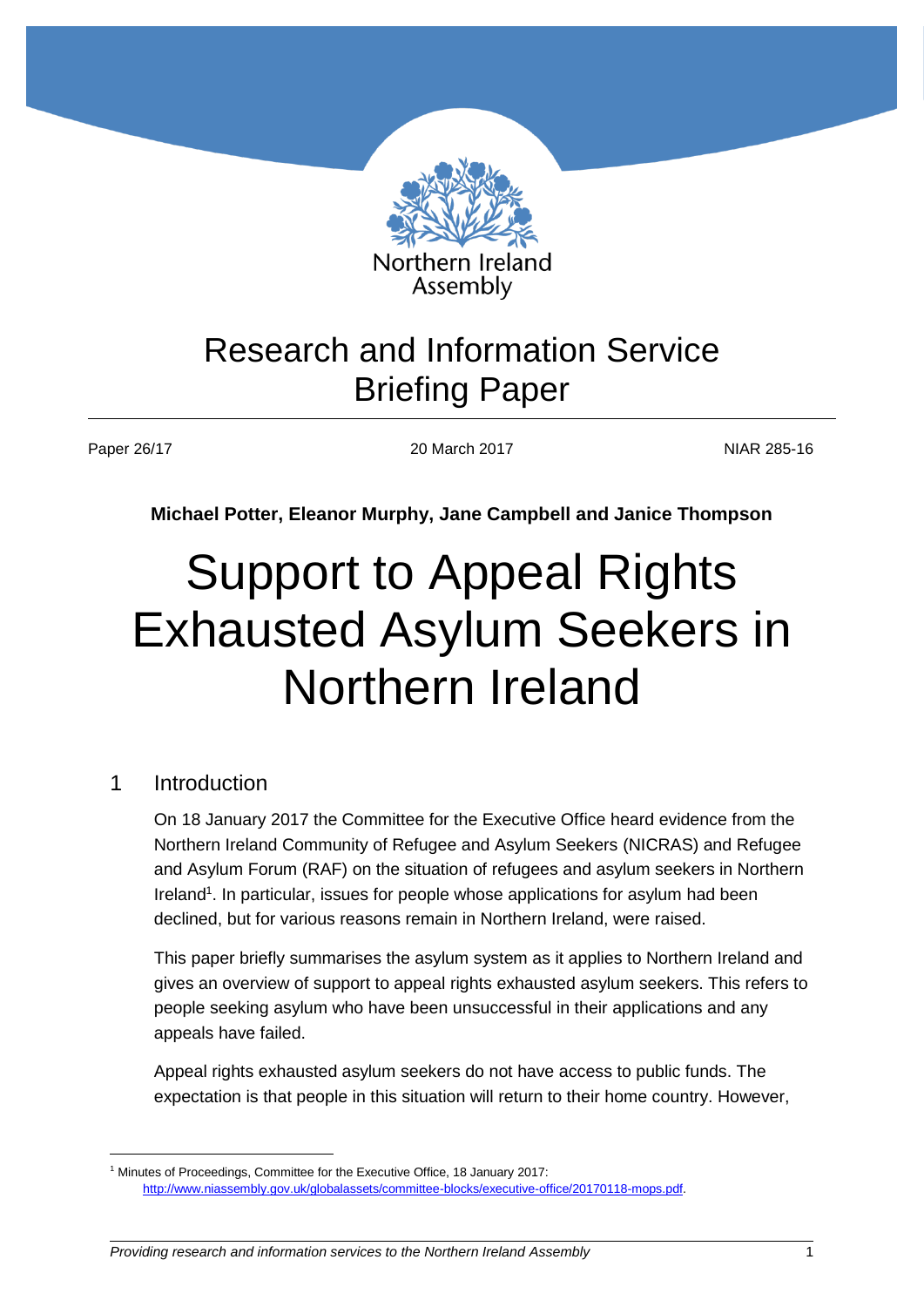

# Research and Information Service Briefing Paper

Paper 26/17 20 March 2017 2010 2017 2010 2017

**Michael Potter, Eleanor Murphy, Jane Campbell and Janice Thompson**

# Support to Appeal Rights Exhausted Asylum Seekers in Northern Ireland

#### 1 Introduction

 $\overline{a}$ 

On 18 January 2017 the Committee for the Executive Office heard evidence from the Northern Ireland Community of Refugee and Asylum Seekers (NICRAS) and Refugee and Asylum Forum (RAF) on the situation of refugees and asylum seekers in Northern Ireland<sup>1</sup>. In particular, issues for people whose applications for asylum had been declined, but for various reasons remain in Northern Ireland, were raised.

This paper briefly summarises the asylum system as it applies to Northern Ireland and gives an overview of support to appeal rights exhausted asylum seekers. This refers to people seeking asylum who have been unsuccessful in their applications and any appeals have failed.

Appeal rights exhausted asylum seekers do not have access to public funds. The expectation is that people in this situation will return to their home country. However,

<sup>1</sup> Minutes of Proceedings, Committee for the Executive Office, 18 January 2017: [http://www.niassembly.gov.uk/globalassets/committee-blocks/executive-office/20170118-mops.pdf.](http://www.niassembly.gov.uk/globalassets/committee-blocks/executive-office/20170118-mops.pdf)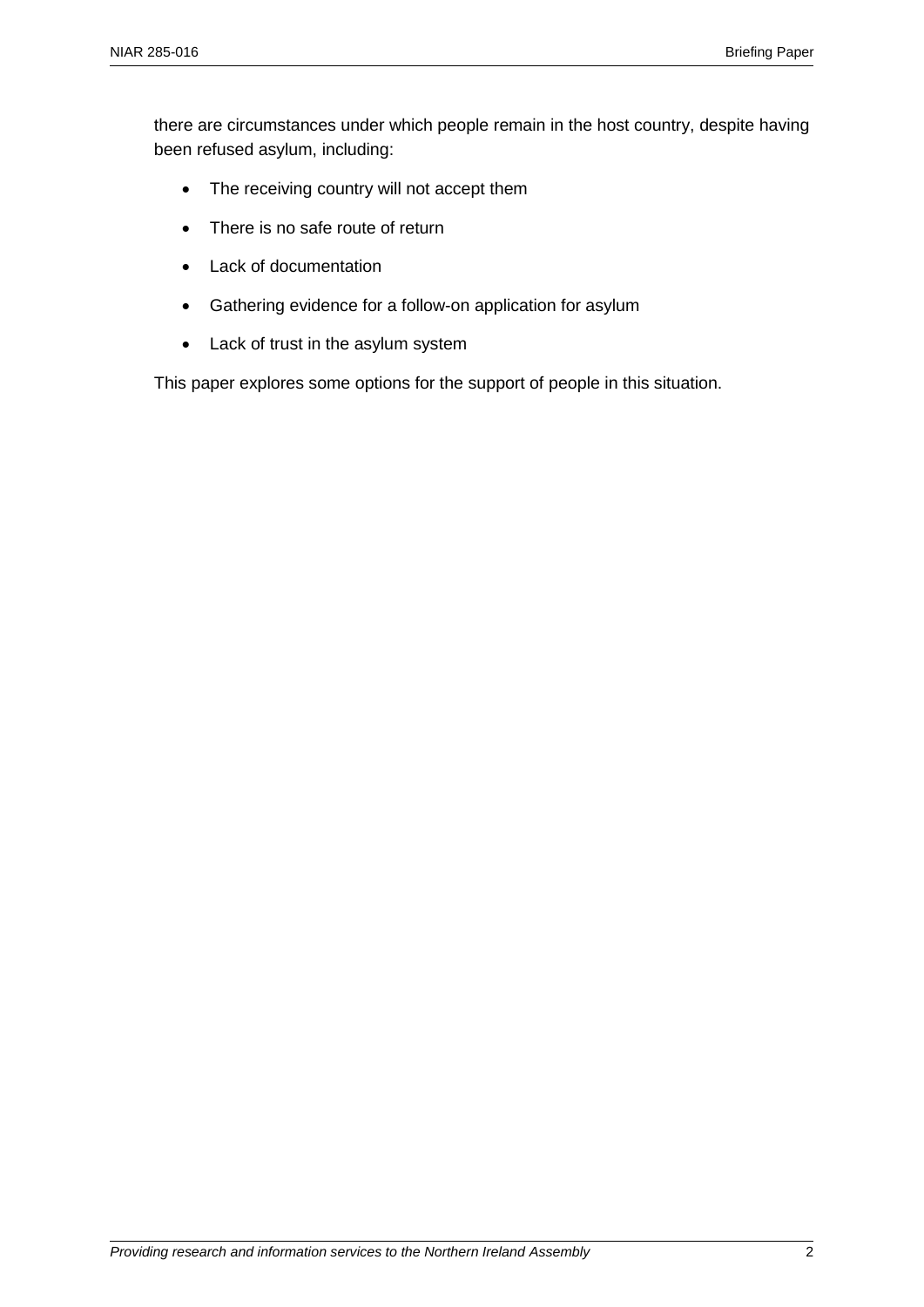there are circumstances under which people remain in the host country, despite having been refused asylum, including:

- The receiving country will not accept them
- There is no safe route of return
- Lack of documentation
- Gathering evidence for a follow-on application for asylum
- Lack of trust in the asylum system

This paper explores some options for the support of people in this situation.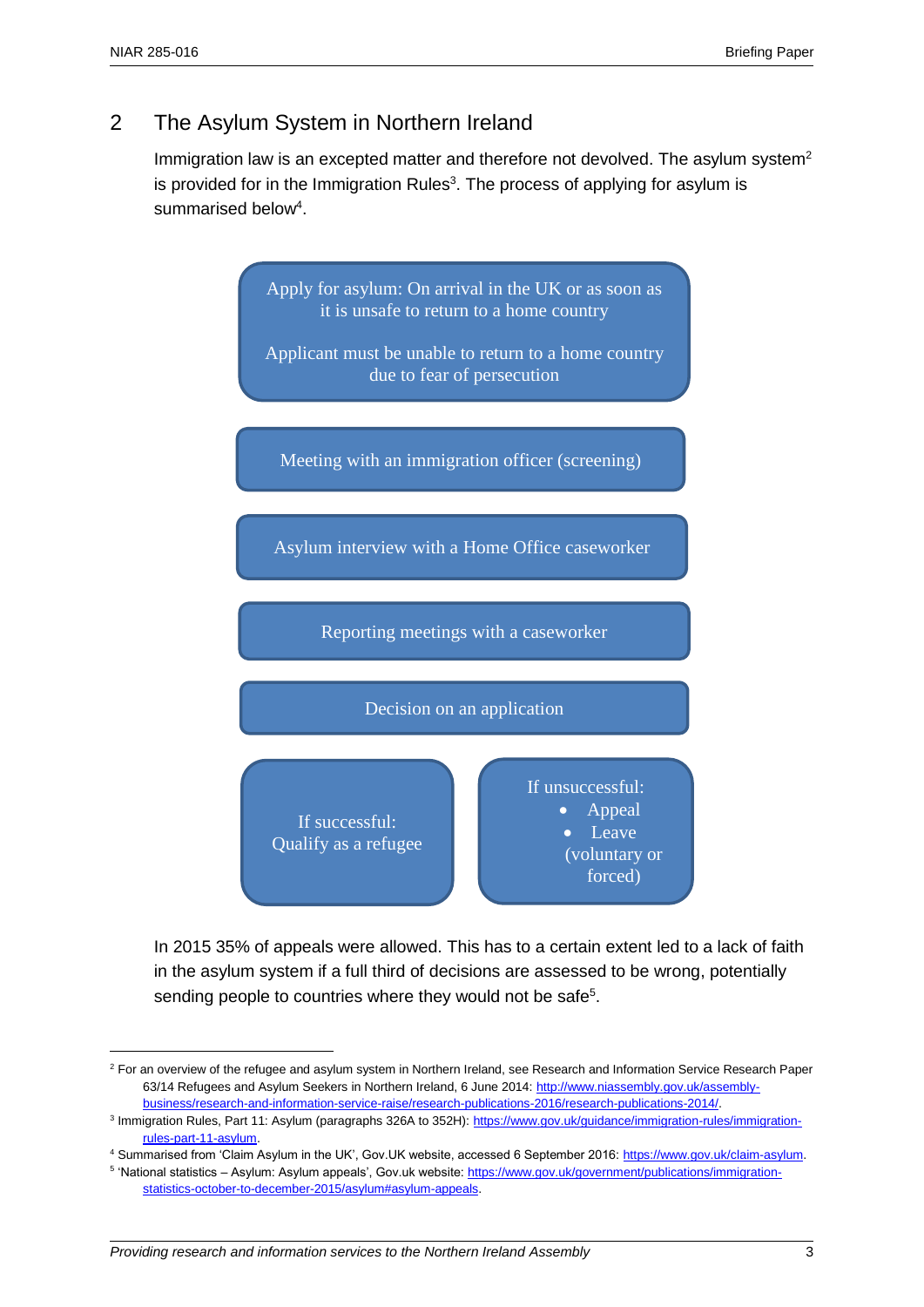$\overline{a}$ 

# 2 The Asylum System in Northern Ireland

Immigration law is an excepted matter and therefore not devolved. The asylum system<sup>2</sup> is provided for in the Immigration Rules<sup>3</sup>. The process of applying for asylum is summarised below<sup>4</sup>.



In 2015 35% of appeals were allowed. This has to a certain extent led to a lack of faith in the asylum system if a full third of decisions are assessed to be wrong, potentially sending people to countries where they would not be safe<sup>5</sup>.

<sup>&</sup>lt;sup>2</sup> For an overview of the refugee and asylum system in Northern Ireland, see Research and Information Service Research Paper 63/14 Refugees and Asylum Seekers in Northern Ireland, 6 June 2014[: http://www.niassembly.gov.uk/assembly](http://www.niassembly.gov.uk/assembly-business/research-and-information-service-raise/research-publications-2016/research-publications-2014/)[business/research-and-information-service-raise/research-publications-2016/research-publications-2014/.](http://www.niassembly.gov.uk/assembly-business/research-and-information-service-raise/research-publications-2016/research-publications-2014/)

<sup>&</sup>lt;sup>3</sup> Immigration Rules, Part 11: Asylum (paragraphs 326A to 352H): [https://www.gov.uk/guidance/immigration-rules/immigration](https://www.gov.uk/guidance/immigration-rules/immigration-rules-part-11-asylum)[rules-part-11-asylum.](https://www.gov.uk/guidance/immigration-rules/immigration-rules-part-11-asylum) 

<sup>4</sup> Summarised from 'Claim Asylum in the UK', Gov.UK website, accessed 6 September 2016[: https://www.gov.uk/claim-asylum.](https://www.gov.uk/claim-asylum) 

<sup>&</sup>lt;sup>5</sup> 'National statistics – Asylum: Asylum appeals', Gov.uk website[: https://www.gov.uk/government/publications/immigration](https://www.gov.uk/government/publications/immigration-statistics-october-to-december-2015/asylum#asylum-appeals)[statistics-october-to-december-2015/asylum#asylum-appeals.](https://www.gov.uk/government/publications/immigration-statistics-october-to-december-2015/asylum#asylum-appeals)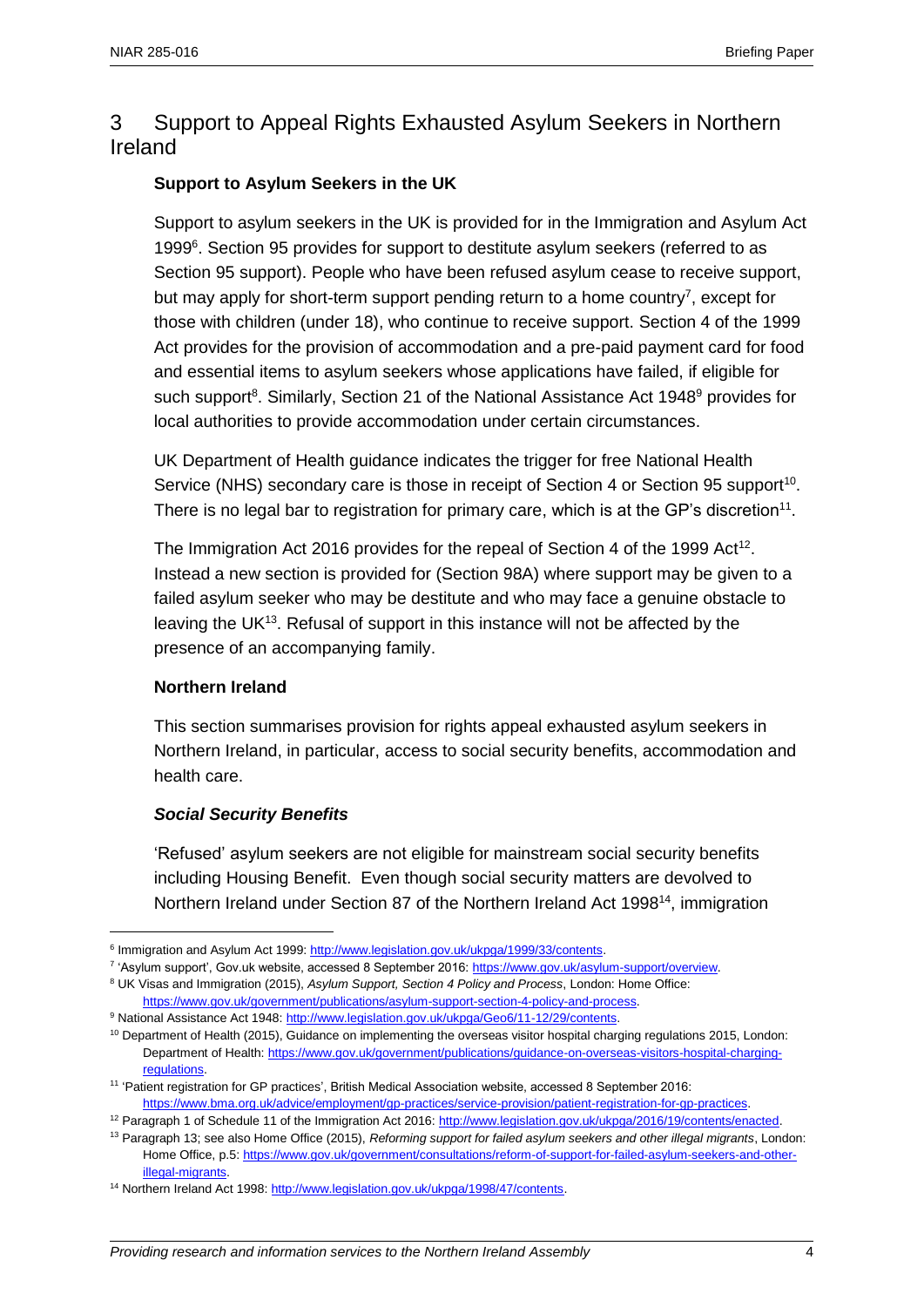## 3 Support to Appeal Rights Exhausted Asylum Seekers in Northern Ireland

#### **Support to Asylum Seekers in the UK**

Support to asylum seekers in the UK is provided for in the Immigration and Asylum Act 1999<sup>6</sup>. Section 95 provides for support to destitute asylum seekers (referred to as Section 95 support). People who have been refused asylum cease to receive support, but may apply for short-term support pending return to a home country<sup>7</sup>, except for those with children (under 18), who continue to receive support. Section 4 of the 1999 Act provides for the provision of accommodation and a pre-paid payment card for food and essential items to asylum seekers whose applications have failed, if eligible for such support<sup>8</sup>. Similarly, Section 21 of the National Assistance Act 1948<sup>9</sup> provides for local authorities to provide accommodation under certain circumstances.

UK Department of Health guidance indicates the trigger for free National Health Service (NHS) secondary care is those in receipt of Section 4 or Section 95 support<sup>10</sup>. There is no legal bar to registration for primary care, which is at the GP's discretion<sup>11</sup>.

The Immigration Act 2016 provides for the repeal of Section 4 of the 1999 Act<sup>12</sup>. Instead a new section is provided for (Section 98A) where support may be given to a failed asylum seeker who may be destitute and who may face a genuine obstacle to leaving the UK $13$ . Refusal of support in this instance will not be affected by the presence of an accompanying family.

#### **Northern Ireland**

 $\overline{a}$ 

This section summarises provision for rights appeal exhausted asylum seekers in Northern Ireland, in particular, access to social security benefits, accommodation and health care.

#### *Social Security Benefits*

'Refused' asylum seekers are not eligible for mainstream social security benefits including Housing Benefit. Even though social security matters are devolved to Northern Ireland under Section 87 of the Northern Ireland Act 1998<sup>14</sup>, immigration

9 National Assistance Act 1948: http://www.legislation.gov.uk/ukpga/Geo6/11-12/29/contents.

<sup>&</sup>lt;sup>6</sup> Immigration and Asylum Act 1999: http://www.legislation.gov.uk/ukpga/1999/33/contents.

<sup>&</sup>lt;sup>7</sup> 'Asylum support', Gov.uk website, accessed 8 September 2016: https://www.gov.uk/asylum-support/overview.

<sup>8</sup> UK Visas and Immigration (2015), *Asylum Support, Section 4 Policy and Process*, London: Home Office: [https://www.gov.uk/government/publications/asylum-support-section-4-policy-and-process.](https://www.gov.uk/government/publications/asylum-support-section-4-policy-and-process)

<sup>&</sup>lt;sup>10</sup> Department of Health (2015), Guidance on implementing the overseas visitor hospital charging regulations 2015, London: Department of Health[: https://www.gov.uk/government/publications/guidance-on-overseas-visitors-hospital-charging](https://www.gov.uk/government/publications/guidance-on-overseas-visitors-hospital-charging-regulations)[regulations.](https://www.gov.uk/government/publications/guidance-on-overseas-visitors-hospital-charging-regulations) 

<sup>11</sup> 'Patient registration for GP practices', British Medical Association website, accessed 8 September 2016: [https://www.bma.org.uk/advice/employment/gp-practices/service-provision/patient-registration-for-gp-practices.](https://www.bma.org.uk/advice/employment/gp-practices/service-provision/patient-registration-for-gp-practices)

<sup>&</sup>lt;sup>12</sup> Paragraph 1 of Schedule 11 of the Immigration Act 2016: [http://www.legislation.gov.uk/ukpga/2016/19/contents/enacted.](http://www.legislation.gov.uk/ukpga/2016/19/contents/enacted)

<sup>13</sup> Paragraph 13; see also Home Office (2015), *Reforming support for failed asylum seekers and other illegal migrants*, London: Home Office, p.5[: https://www.gov.uk/government/consultations/reform-of-support-for-failed-asylum-seekers-and-other](https://www.gov.uk/government/consultations/reform-of-support-for-failed-asylum-seekers-and-other-illegal-migrants)[illegal-migrants.](https://www.gov.uk/government/consultations/reform-of-support-for-failed-asylum-seekers-and-other-illegal-migrants)

<sup>&</sup>lt;sup>14</sup> Northern Ireland Act 1998: http://www.legislation.gov.uk/ukpga/1998/47/contents.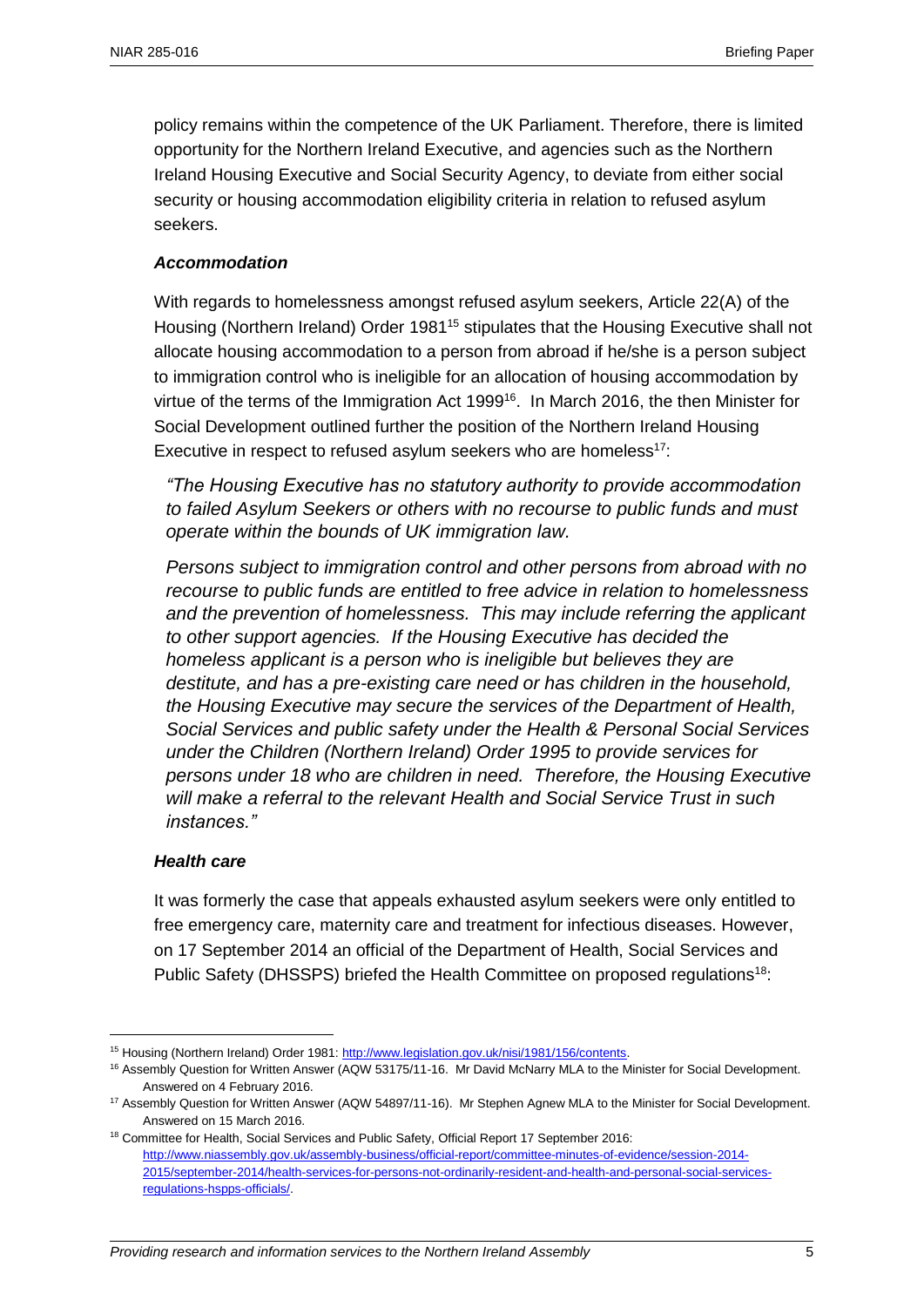policy remains within the competence of the UK Parliament. Therefore, there is limited opportunity for the Northern Ireland Executive, and agencies such as the Northern Ireland Housing Executive and Social Security Agency, to deviate from either social security or housing accommodation eligibility criteria in relation to refused asylum seekers.

#### *Accommodation*

With regards to homelessness amongst refused asylum seekers, Article 22(A) of the Housing (Northern Ireland) Order 1981<sup>15</sup> stipulates that the Housing Executive shall not allocate housing accommodation to a person from abroad if he/she is a person subject to immigration control who is ineligible for an allocation of housing accommodation by virtue of the terms of the Immigration Act 1999<sup>16</sup>. In March 2016, the then Minister for Social Development outlined further the position of the Northern Ireland Housing Executive in respect to refused asylum seekers who are homeless<sup>17</sup>:

*"The Housing Executive has no statutory authority to provide accommodation to failed Asylum Seekers or others with no recourse to public funds and must operate within the bounds of UK immigration law.* 

*Persons subject to immigration control and other persons from abroad with no recourse to public funds are entitled to free advice in relation to homelessness and the prevention of homelessness. This may include referring the applicant to other support agencies. If the Housing Executive has decided the homeless applicant is a person who is ineligible but believes they are destitute, and has a pre-existing care need or has children in the household, the Housing Executive may secure the services of the Department of Health, Social Services and public safety under the Health & Personal Social Services under the Children (Northern Ireland) Order 1995 to provide services for persons under 18 who are children in need. Therefore, the Housing Executive will make a referral to the relevant Health and Social Service Trust in such instances."*

#### *Health care*

 $\overline{a}$ 

It was formerly the case that appeals exhausted asylum seekers were only entitled to free emergency care, maternity care and treatment for infectious diseases. However, on 17 September 2014 an official of the Department of Health, Social Services and Public Safety (DHSSPS) briefed the Health Committee on proposed regulations<sup>18</sup>:

<sup>&</sup>lt;sup>15</sup> Housing (Northern Ireland) Order 1981[: http://www.legislation.gov.uk/nisi/1981/156/contents.](http://www.legislation.gov.uk/nisi/1981/156/contents)

<sup>&</sup>lt;sup>16</sup> Assembly Question for Written Answer (AQW 53175/11-16. Mr David McNarry MLA to the Minister for Social Development. Answered on 4 February 2016.

<sup>&</sup>lt;sup>17</sup> Assembly Question for Written Answer (AQW 54897/11-16). Mr Stephen Agnew MLA to the Minister for Social Development. Answered on 15 March 2016.

<sup>&</sup>lt;sup>18</sup> Committee for Health, Social Services and Public Safety, Official Report 17 September 2016: [http://www.niassembly.gov.uk/assembly-business/official-report/committee-minutes-of-evidence/session-2014-](http://www.niassembly.gov.uk/assembly-business/official-report/committee-minutes-of-evidence/session-2014-2015/september-2014/health-services-for-persons-not-ordinarily-resident-and-health-and-personal-social-services-regulations-hspps-officials/) [2015/september-2014/health-services-for-persons-not-ordinarily-resident-and-health-and-personal-social-services](http://www.niassembly.gov.uk/assembly-business/official-report/committee-minutes-of-evidence/session-2014-2015/september-2014/health-services-for-persons-not-ordinarily-resident-and-health-and-personal-social-services-regulations-hspps-officials/)[regulations-hspps-officials/.](http://www.niassembly.gov.uk/assembly-business/official-report/committee-minutes-of-evidence/session-2014-2015/september-2014/health-services-for-persons-not-ordinarily-resident-and-health-and-personal-social-services-regulations-hspps-officials/)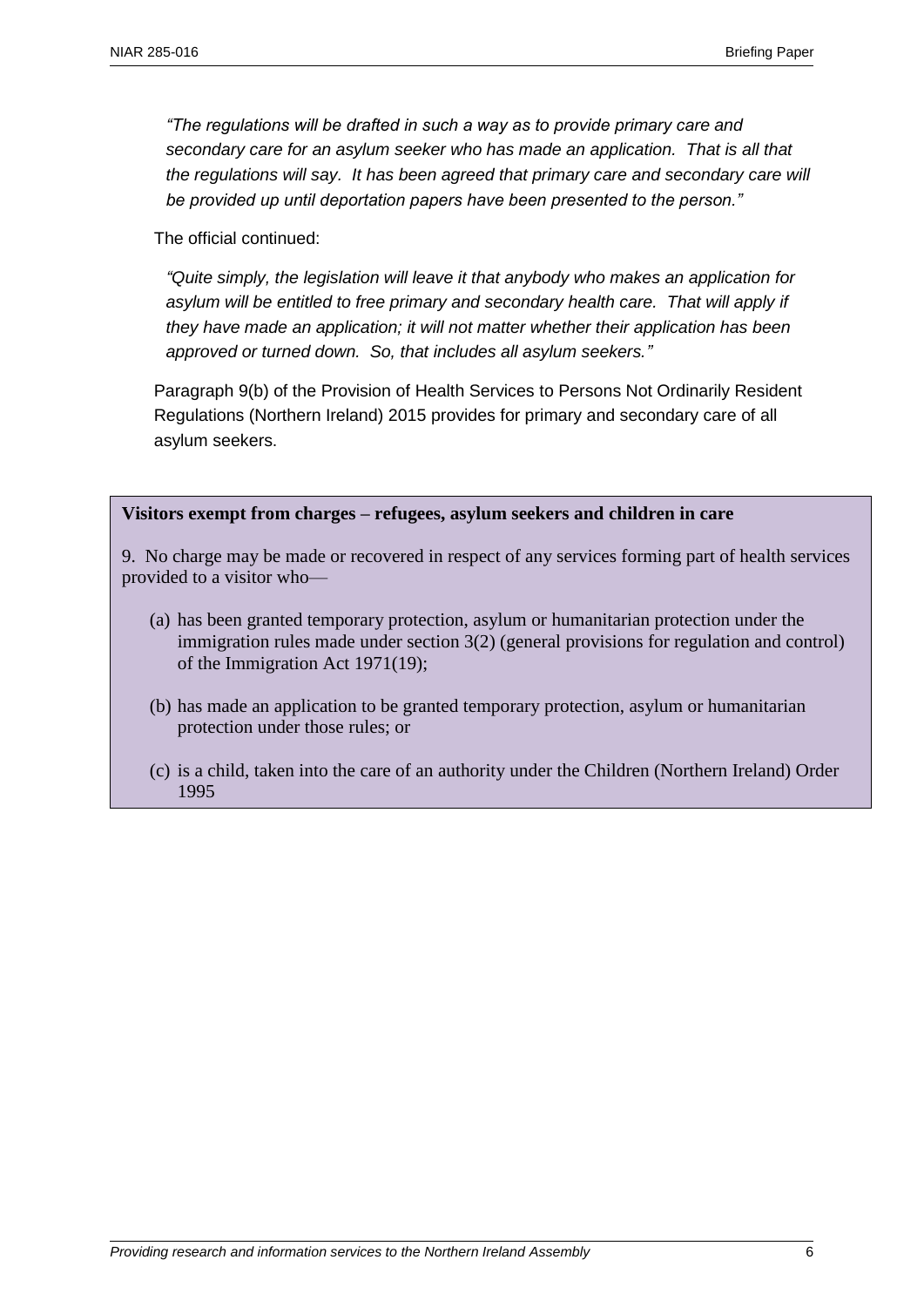*"The regulations will be drafted in such a way as to provide primary care and secondary care for an asylum seeker who has made an application. That is all that the regulations will say. It has been agreed that primary care and secondary care will be provided up until deportation papers have been presented to the person."*

The official continued:

*"Quite simply, the legislation will leave it that anybody who makes an application for asylum will be entitled to free primary and secondary health care. That will apply if they have made an application; it will not matter whether their application has been approved or turned down. So, that includes all asylum seekers."*

Paragraph 9(b) of the Provision of Health Services to Persons Not Ordinarily Resident Regulations (Northern Ireland) 2015 provides for primary and secondary care of all asylum seekers.

#### **Visitors exempt from charges – refugees, asylum seekers and children in care**

9. No charge may be made or recovered in respect of any services forming part of health services provided to a visitor who—

- (a) has been granted temporary protection, asylum or humanitarian protection under the immigration rules made under section 3(2) (general provisions for regulation and control) of the Immigration Act 1971(19);
- (b) has made an application to be granted temporary protection, asylum or humanitarian protection under those rules; or
- (c) is a child, taken into the care of an authority under the Children (Northern Ireland) Order 1995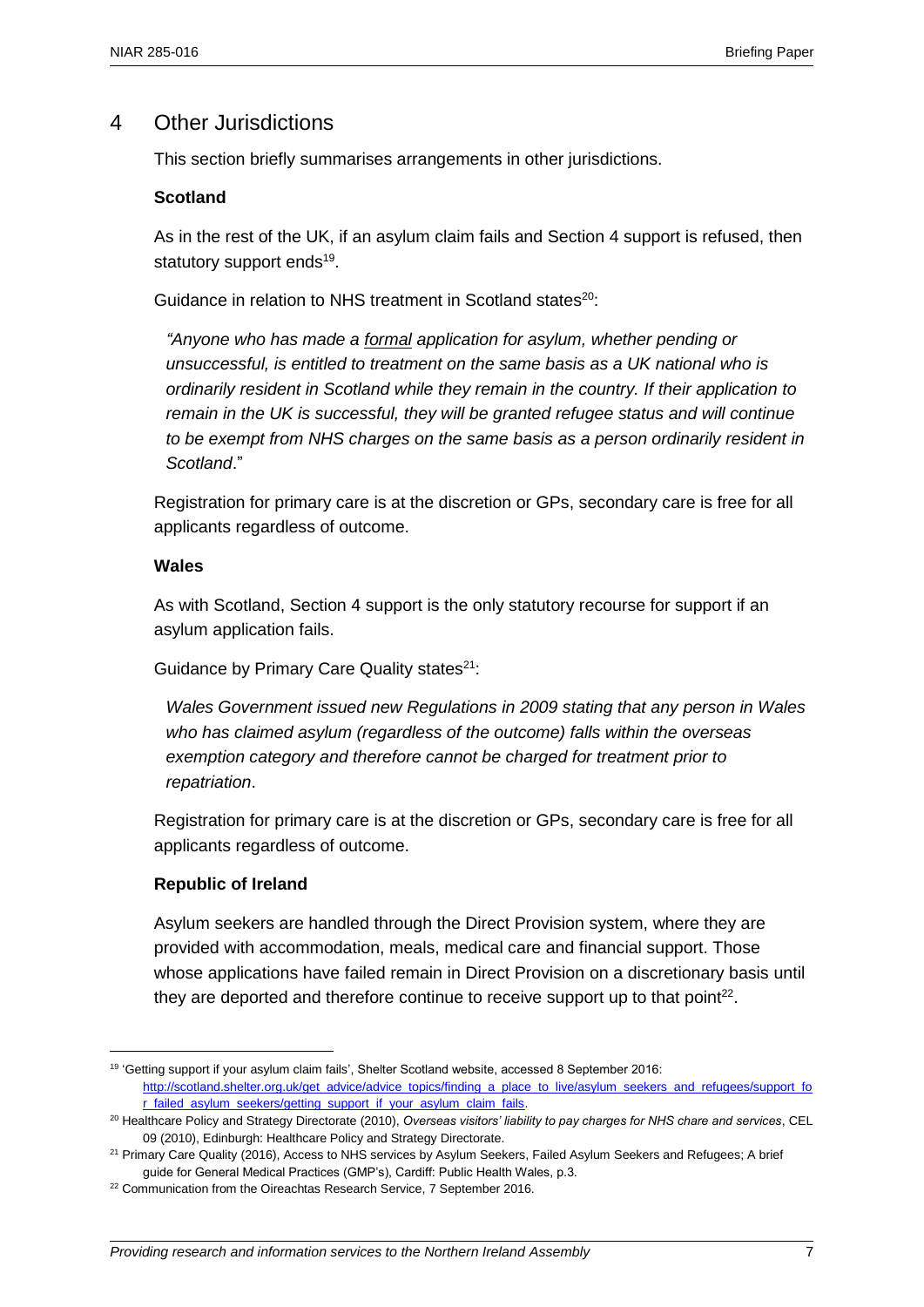### 4 Other Jurisdictions

This section briefly summarises arrangements in other jurisdictions.

#### **Scotland**

As in the rest of the UK, if an asylum claim fails and Section 4 support is refused, then statutory support ends<sup>19</sup>.

Guidance in relation to NHS treatment in Scotland states<sup>20</sup>:

*"Anyone who has made a formal application for asylum, whether pending or unsuccessful, is entitled to treatment on the same basis as a UK national who is ordinarily resident in Scotland while they remain in the country. If their application to remain in the UK is successful, they will be granted refugee status and will continue to be exempt from NHS charges on the same basis as a person ordinarily resident in Scotland*."

Registration for primary care is at the discretion or GPs, secondary care is free for all applicants regardless of outcome.

#### **Wales**

As with Scotland, Section 4 support is the only statutory recourse for support if an asylum application fails.

Guidance by Primary Care Quality states<sup>21</sup>:

*Wales Government issued new Regulations in 2009 stating that any person in Wales who has claimed asylum (regardless of the outcome) falls within the overseas exemption category and therefore cannot be charged for treatment prior to repatriation*.

Registration for primary care is at the discretion or GPs, secondary care is free for all applicants regardless of outcome.

#### **Republic of Ireland**

 $\overline{a}$ 

Asylum seekers are handled through the Direct Provision system, where they are provided with accommodation, meals, medical care and financial support. Those whose applications have failed remain in Direct Provision on a discretionary basis until they are deported and therefore continue to receive support up to that point<sup>22</sup>.

<sup>19</sup> 'Getting support if your asylum claim fails', Shelter Scotland website, accessed 8 September 2016: [http://scotland.shelter.org.uk/get\\_advice/advice\\_topics/finding\\_a\\_place\\_to\\_live/asylum\\_seekers\\_and\\_refugees/support\\_fo](http://scotland.shelter.org.uk/get_advice/advice_topics/finding_a_place_to_live/asylum_seekers_and_refugees/support_for_failed_asylum_seekers/getting_support_if_your_asylum_claim_fails) [r\\_failed\\_asylum\\_seekers/getting\\_support\\_if\\_your\\_asylum\\_claim\\_fails.](http://scotland.shelter.org.uk/get_advice/advice_topics/finding_a_place_to_live/asylum_seekers_and_refugees/support_for_failed_asylum_seekers/getting_support_if_your_asylum_claim_fails)

<sup>20</sup> Healthcare Policy and Strategy Directorate (2010), *Overseas visitors' liability to pay charges for NHS chare and services*, CEL 09 (2010), Edinburgh: Healthcare Policy and Strategy Directorate.

<sup>&</sup>lt;sup>21</sup> Primary Care Quality (2016), Access to NHS services by Asylum Seekers, Failed Asylum Seekers and Refugees; A brief guide for General Medical Practices (GMP's), Cardiff: Public Health Wales, p.3.

<sup>&</sup>lt;sup>22</sup> Communication from the Oireachtas Research Service, 7 September 2016.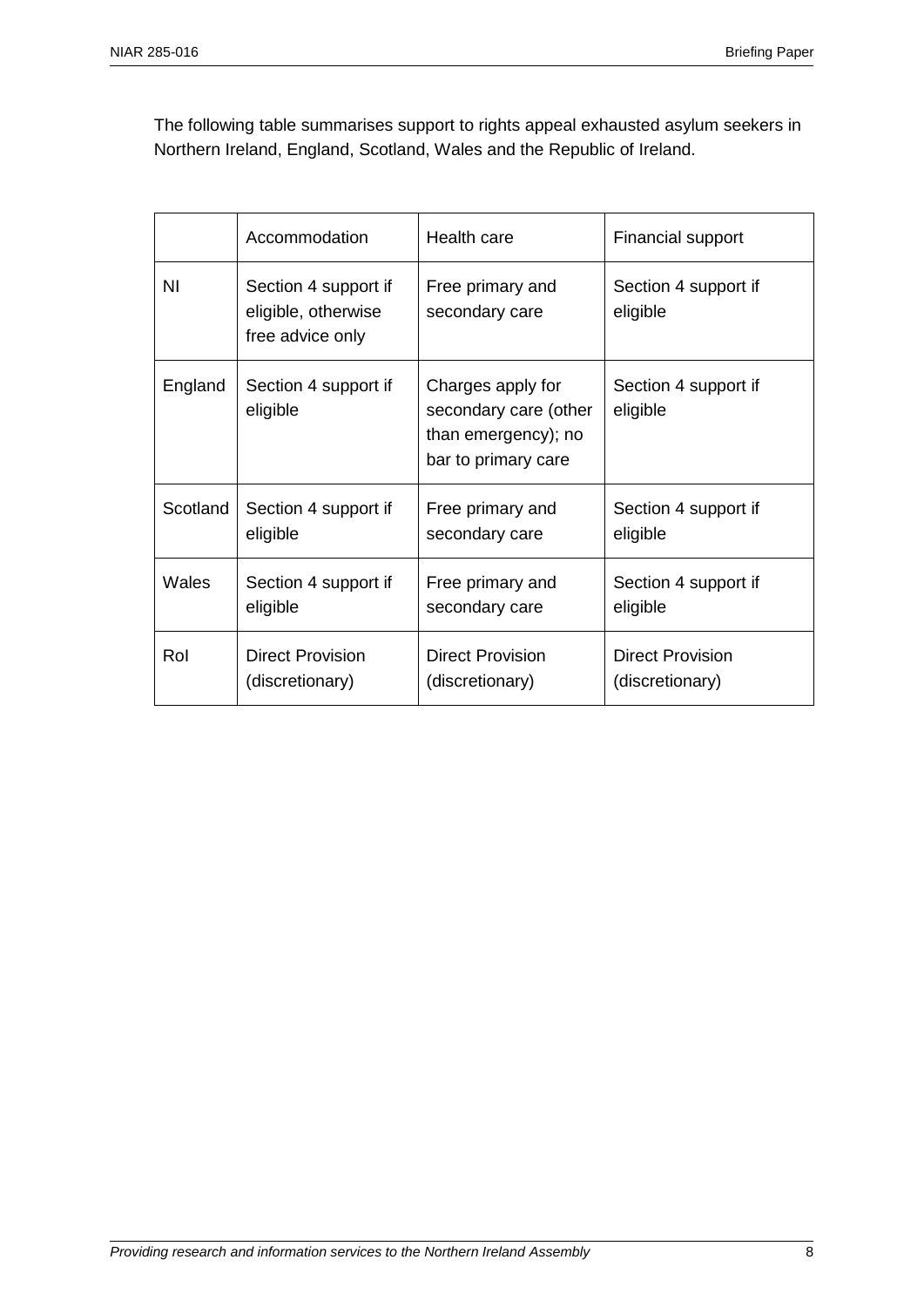The following table summarises support to rights appeal exhausted asylum seekers in Northern Ireland, England, Scotland, Wales and the Republic of Ireland.

|          | Accommodation                                                   | Health care                                                                              | <b>Financial support</b>         |  |
|----------|-----------------------------------------------------------------|------------------------------------------------------------------------------------------|----------------------------------|--|
| ΝI       | Section 4 support if<br>eligible, otherwise<br>free advice only | Free primary and<br>secondary care                                                       | Section 4 support if<br>eligible |  |
| England  | Section 4 support if<br>eligible                                | Charges apply for<br>secondary care (other<br>than emergency); no<br>bar to primary care | Section 4 support if<br>eligible |  |
| Scotland | Section 4 support if                                            | Free primary and                                                                         | Section 4 support if             |  |
|          | eligible                                                        | secondary care                                                                           | eligible                         |  |
| Wales    | Section 4 support if                                            | Free primary and                                                                         | Section 4 support if             |  |
|          | eligible                                                        | secondary care                                                                           | eligible                         |  |
| Rol      | <b>Direct Provision</b>                                         | <b>Direct Provision</b>                                                                  | <b>Direct Provision</b>          |  |
|          | (discretionary)                                                 | (discretionary)                                                                          | (discretionary)                  |  |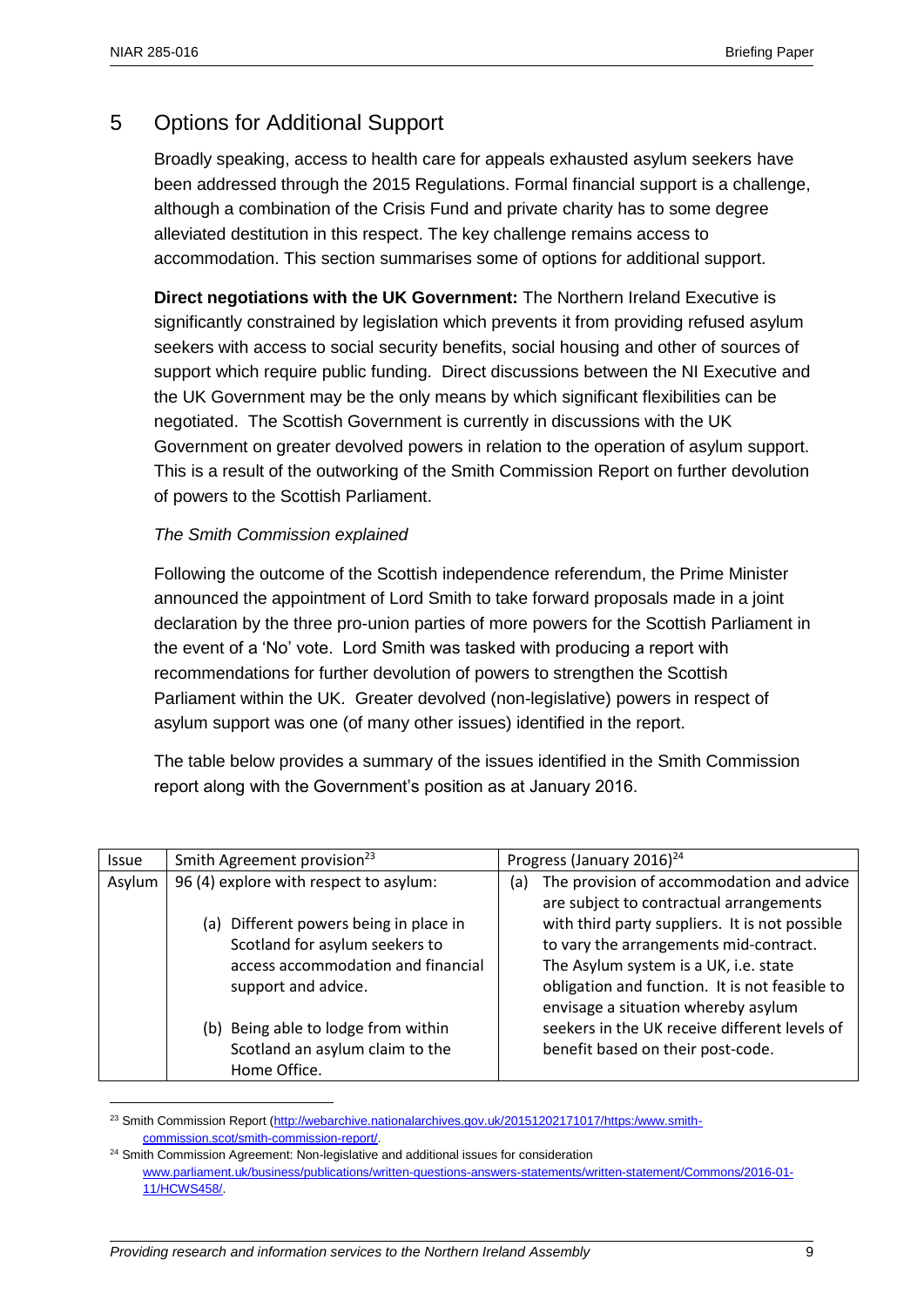$\overline{a}$ 

# 5 Options for Additional Support

Broadly speaking, access to health care for appeals exhausted asylum seekers have been addressed through the 2015 Regulations. Formal financial support is a challenge, although a combination of the Crisis Fund and private charity has to some degree alleviated destitution in this respect. The key challenge remains access to accommodation. This section summarises some of options for additional support.

**Direct negotiations with the UK Government:** The Northern Ireland Executive is significantly constrained by legislation which prevents it from providing refused asylum seekers with access to social security benefits, social housing and other of sources of support which require public funding. Direct discussions between the NI Executive and the UK Government may be the only means by which significant flexibilities can be negotiated. The Scottish Government is currently in discussions with the UK Government on greater devolved powers in relation to the operation of asylum support. This is a result of the outworking of the Smith Commission Report on further devolution of powers to the Scottish Parliament.

#### *The Smith Commission explained*

Following the outcome of the Scottish independence referendum, the Prime Minister announced the appointment of Lord Smith to take forward proposals made in a joint declaration by the three pro-union parties of more powers for the Scottish Parliament in the event of a 'No' vote. Lord Smith was tasked with producing a report with recommendations for further devolution of powers to strengthen the Scottish Parliament within the UK. Greater devolved (non-legislative) powers in respect of asylum support was one (of many other issues) identified in the report.

The table below provides a summary of the issues identified in the Smith Commission report along with the Government's position as at January 2016.

| Issue  | Smith Agreement provision <sup>23</sup>                                                                                                                                                                                | Progress (January 2016) <sup>24</sup>                                                                                                                                                                                                                                                                                                                                      |
|--------|------------------------------------------------------------------------------------------------------------------------------------------------------------------------------------------------------------------------|----------------------------------------------------------------------------------------------------------------------------------------------------------------------------------------------------------------------------------------------------------------------------------------------------------------------------------------------------------------------------|
| Asylum | 96 (4) explore with respect to asylum:<br>(a) Different powers being in place in<br>Scotland for asylum seekers to<br>access accommodation and financial<br>support and advice.<br>(b) Being able to lodge from within | The provision of accommodation and advice<br>(a)<br>are subject to contractual arrangements<br>with third party suppliers. It is not possible<br>to vary the arrangements mid-contract.<br>The Asylum system is a UK, i.e. state<br>obligation and function. It is not feasible to<br>envisage a situation whereby asylum<br>seekers in the UK receive different levels of |
|        | Scotland an asylum claim to the<br>Home Office.                                                                                                                                                                        | benefit based on their post-code.                                                                                                                                                                                                                                                                                                                                          |

<sup>&</sup>lt;sup>23</sup> Smith Commission Report [\(http://webarchive.nationalarchives.gov.uk/20151202171017/https:/www.smith](http://webarchive.nationalarchives.gov.uk/20151202171017/https:/www.smith-commission.scot/smith-commission-report/)[commission.scot/smith-commission-report/.](http://webarchive.nationalarchives.gov.uk/20151202171017/https:/www.smith-commission.scot/smith-commission-report/)

<sup>&</sup>lt;sup>24</sup> Smith Commission Agreement: Non-legislative and additional issues for consideration [www.parliament.uk/business/publications/written-questions-answers-statements/written-statement/Commons/2016-01-](http://www.parliament.uk/business/publications/written-questions-answers-statements/written-statement/Commons/2016-01-11/HCWS458/) [11/HCWS458/.](http://www.parliament.uk/business/publications/written-questions-answers-statements/written-statement/Commons/2016-01-11/HCWS458/)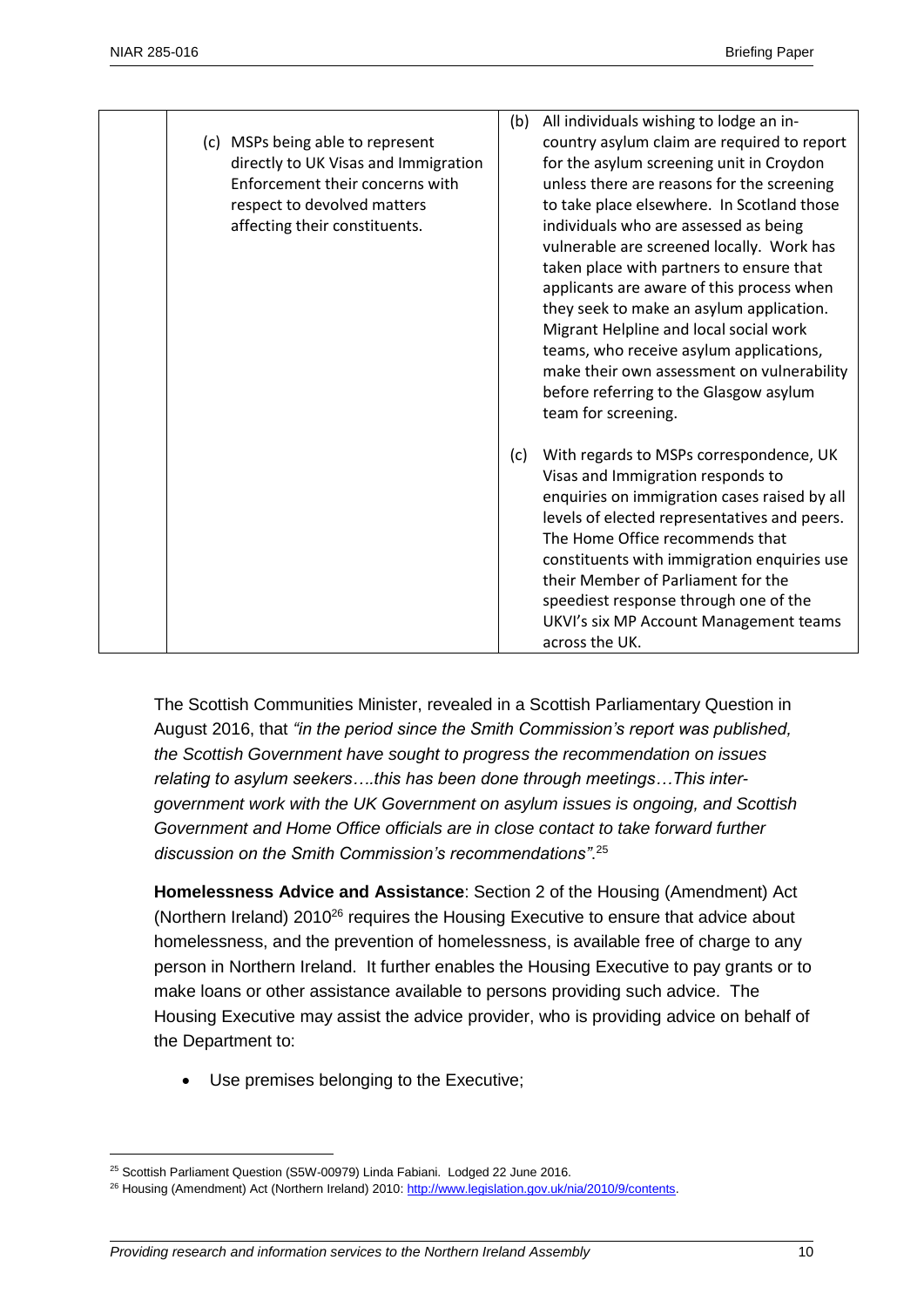| (c) MSPs being able to represent<br>directly to UK Visas and Immigration<br>Enforcement their concerns with<br>respect to devolved matters<br>affecting their constituents. | (b) | All individuals wishing to lodge an in-<br>country asylum claim are required to report<br>for the asylum screening unit in Croydon<br>unless there are reasons for the screening<br>to take place elsewhere. In Scotland those<br>individuals who are assessed as being<br>vulnerable are screened locally. Work has<br>taken place with partners to ensure that<br>applicants are aware of this process when<br>they seek to make an asylum application.<br>Migrant Helpline and local social work<br>teams, who receive asylum applications,<br>make their own assessment on vulnerability<br>before referring to the Glasgow asylum<br>team for screening. |
|-----------------------------------------------------------------------------------------------------------------------------------------------------------------------------|-----|---------------------------------------------------------------------------------------------------------------------------------------------------------------------------------------------------------------------------------------------------------------------------------------------------------------------------------------------------------------------------------------------------------------------------------------------------------------------------------------------------------------------------------------------------------------------------------------------------------------------------------------------------------------|
|                                                                                                                                                                             | (c) | With regards to MSPs correspondence, UK<br>Visas and Immigration responds to<br>enquiries on immigration cases raised by all<br>levels of elected representatives and peers.<br>The Home Office recommends that<br>constituents with immigration enquiries use<br>their Member of Parliament for the<br>speediest response through one of the<br>UKVI's six MP Account Management teams<br>across the UK.                                                                                                                                                                                                                                                     |

The Scottish Communities Minister, revealed in a Scottish Parliamentary Question in August 2016, that *"in the period since the Smith Commission's report was published, the Scottish Government have sought to progress the recommendation on issues relating to asylum seekers….this has been done through meetings…This intergovernment work with the UK Government on asylum issues is ongoing, and Scottish Government and Home Office officials are in close contact to take forward further discussion on the Smith Commission's recommendations"*. 25

**Homelessness Advice and Assistance**: Section 2 of the Housing (Amendment) Act (Northern Ireland) 2010<sup>26</sup> requires the Housing Executive to ensure that advice about homelessness, and the prevention of homelessness, is available free of charge to any person in Northern Ireland. It further enables the Housing Executive to pay grants or to make loans or other assistance available to persons providing such advice. The Housing Executive may assist the advice provider, who is providing advice on behalf of the Department to:

Use premises belonging to the Executive;

 $\overline{a}$ 

<sup>&</sup>lt;sup>25</sup> Scottish Parliament Question (S5W-00979) Linda Fabiani. Lodged 22 June 2016.

<sup>&</sup>lt;sup>26</sup> Housing (Amendment) Act (Northern Ireland) 2010: http://www.legislation.gov.uk/nia/2010/9/contents.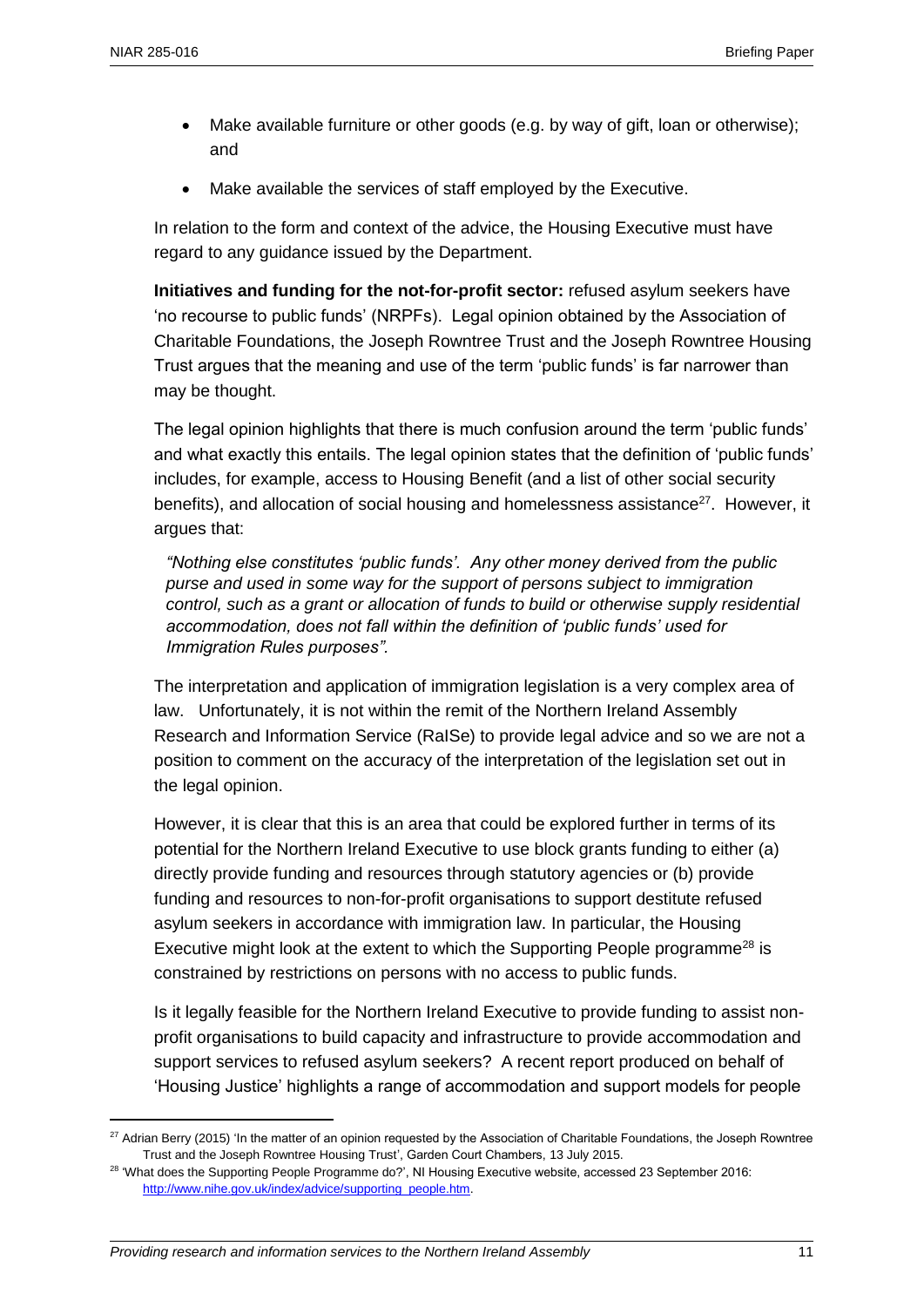$\overline{a}$ 

- Make available furniture or other goods (e.g. by way of gift, loan or otherwise); and
- Make available the services of staff employed by the Executive.

In relation to the form and context of the advice, the Housing Executive must have regard to any guidance issued by the Department.

**Initiatives and funding for the not-for-profit sector:** refused asylum seekers have 'no recourse to public funds' (NRPFs). Legal opinion obtained by the Association of Charitable Foundations, the Joseph Rowntree Trust and the Joseph Rowntree Housing Trust argues that the meaning and use of the term 'public funds' is far narrower than may be thought.

The legal opinion highlights that there is much confusion around the term 'public funds' and what exactly this entails. The legal opinion states that the definition of 'public funds' includes, for example, access to Housing Benefit (and a list of other social security benefits), and allocation of social housing and homelessness assistance<sup>27</sup>. However, it argues that:

*"Nothing else constitutes 'public funds'. Any other money derived from the public purse and used in some way for the support of persons subject to immigration control, such as a grant or allocation of funds to build or otherwise supply residential accommodation, does not fall within the definition of 'public funds' used for Immigration Rules purposes".*

The interpretation and application of immigration legislation is a very complex area of law. Unfortunately, it is not within the remit of the Northern Ireland Assembly Research and Information Service (RaISe) to provide legal advice and so we are not a position to comment on the accuracy of the interpretation of the legislation set out in the legal opinion.

However, it is clear that this is an area that could be explored further in terms of its potential for the Northern Ireland Executive to use block grants funding to either (a) directly provide funding and resources through statutory agencies or (b) provide funding and resources to non-for-profit organisations to support destitute refused asylum seekers in accordance with immigration law. In particular, the Housing Executive might look at the extent to which the Supporting People programme<sup>28</sup> is constrained by restrictions on persons with no access to public funds.

Is it legally feasible for the Northern Ireland Executive to provide funding to assist nonprofit organisations to build capacity and infrastructure to provide accommodation and support services to refused asylum seekers? A recent report produced on behalf of 'Housing Justice' highlights a range of accommodation and support models for people

<sup>&</sup>lt;sup>27</sup> Adrian Berry (2015) 'In the matter of an opinion requested by the Association of Charitable Foundations, the Joseph Rowntree Trust and the Joseph Rowntree Housing Trust', Garden Court Chambers, 13 July 2015.

<sup>&</sup>lt;sup>28</sup> 'What does the Supporting People Programme do?', NI Housing Executive website, accessed 23 September 2016: [http://www.nihe.gov.uk/index/advice/supporting\\_people.htm.](http://www.nihe.gov.uk/index/advice/supporting_people.htm)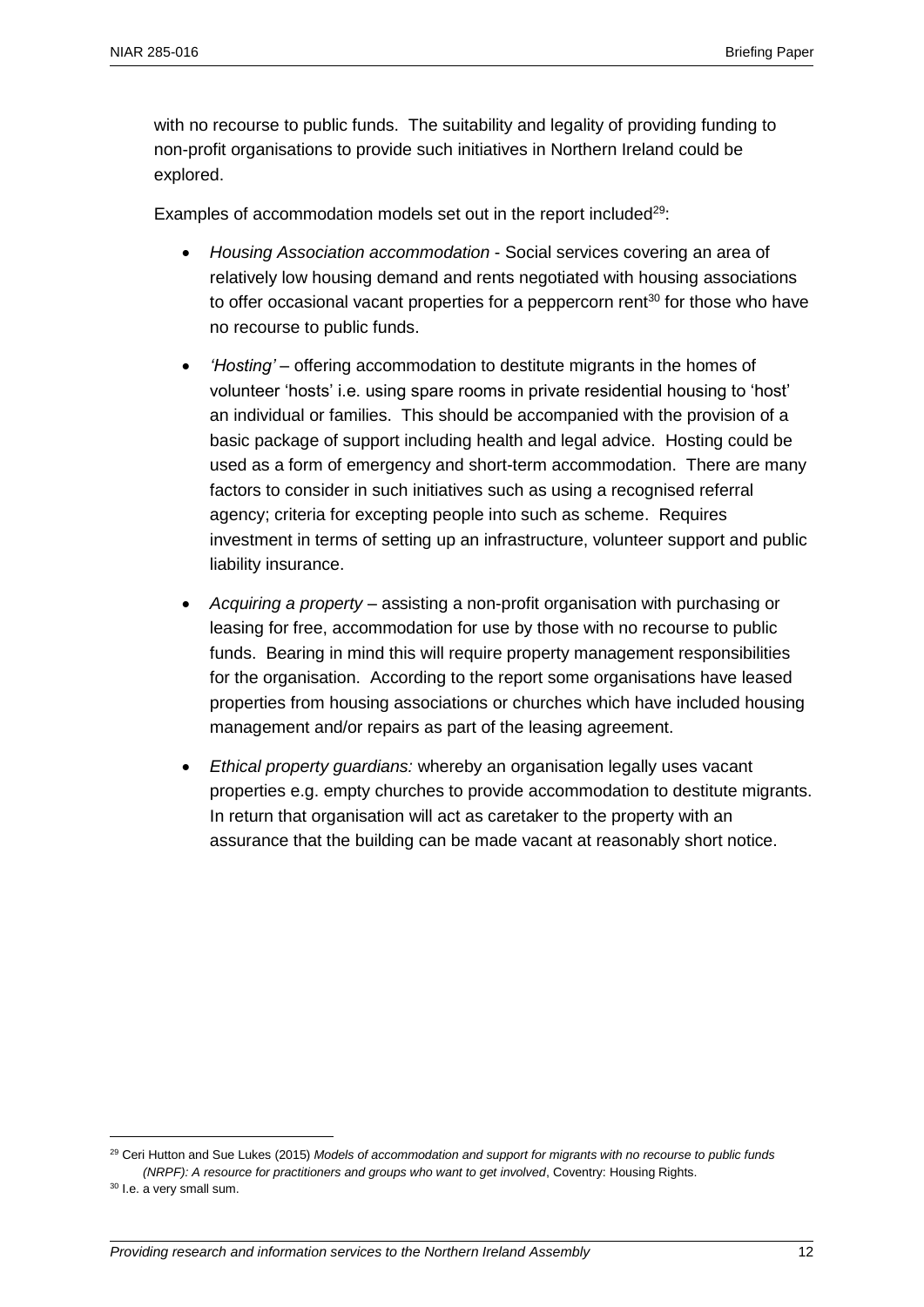with no recourse to public funds. The suitability and legality of providing funding to non-profit organisations to provide such initiatives in Northern Ireland could be explored.

Examples of accommodation models set out in the report included<sup>29</sup>:

- *Housing Association accommodation* Social services covering an area of relatively low housing demand and rents negotiated with housing associations to offer occasional vacant properties for a peppercorn rent<sup>30</sup> for those who have no recourse to public funds.
- *'Hosting'* offering accommodation to destitute migrants in the homes of volunteer 'hosts' i.e. using spare rooms in private residential housing to 'host' an individual or families. This should be accompanied with the provision of a basic package of support including health and legal advice. Hosting could be used as a form of emergency and short-term accommodation. There are many factors to consider in such initiatives such as using a recognised referral agency; criteria for excepting people into such as scheme. Requires investment in terms of setting up an infrastructure, volunteer support and public liability insurance.
- *Acquiring a property* assisting a non-profit organisation with purchasing or leasing for free, accommodation for use by those with no recourse to public funds. Bearing in mind this will require property management responsibilities for the organisation. According to the report some organisations have leased properties from housing associations or churches which have included housing management and/or repairs as part of the leasing agreement.
- *Ethical property guardians:* whereby an organisation legally uses vacant properties e.g. empty churches to provide accommodation to destitute migrants. In return that organisation will act as caretaker to the property with an assurance that the building can be made vacant at reasonably short notice.

 $\overline{a}$ 

<sup>&</sup>lt;sup>29</sup> Ceri Hutton and Sue Lukes (2015) *Models of accommodation and support for migrants with no recourse to public funds (NRPF): A resource for practitioners and groups who want to get involved*, Coventry: Housing Rights.

<sup>&</sup>lt;sup>30</sup> I.e. a very small sum.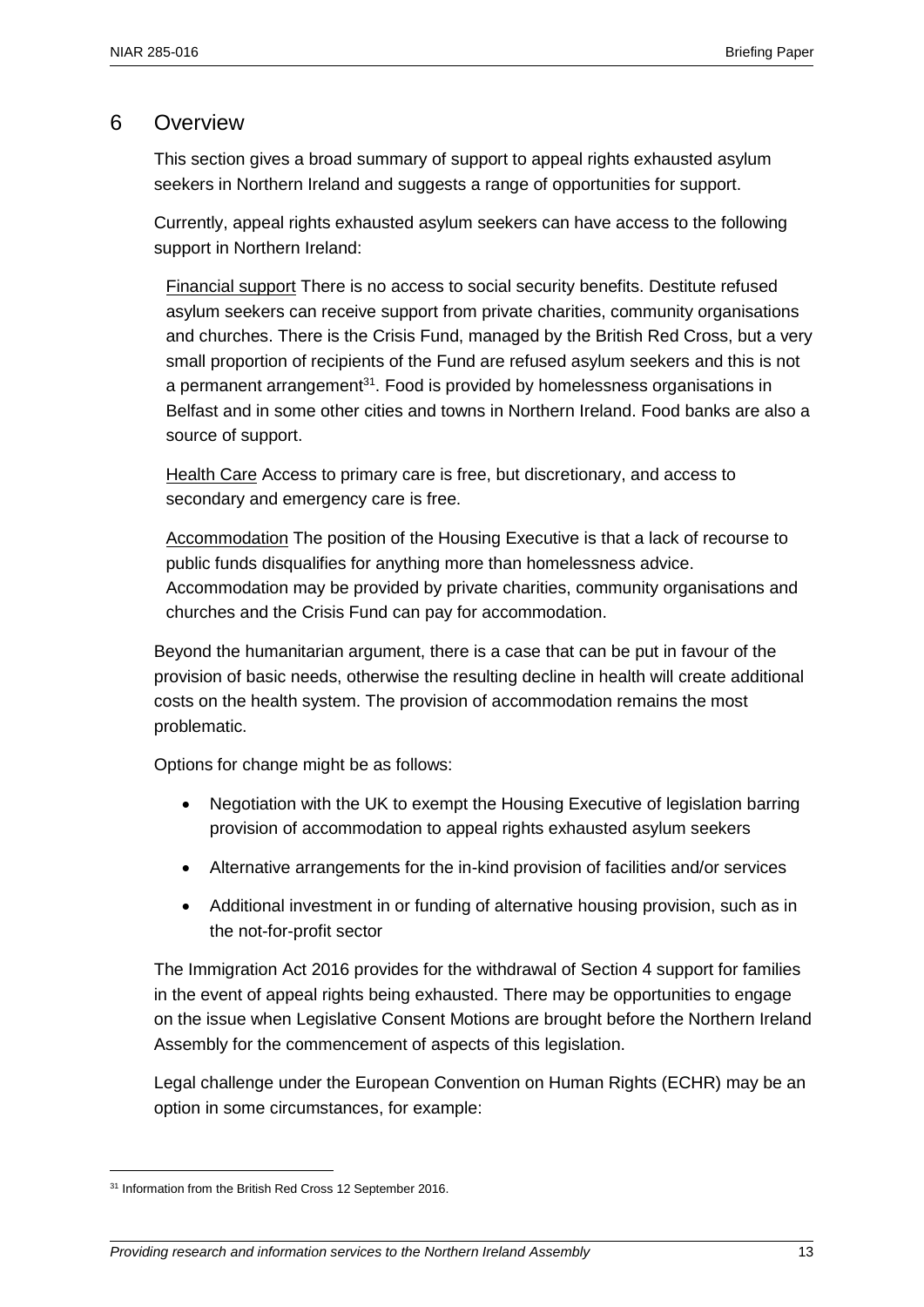#### 6 Overview

This section gives a broad summary of support to appeal rights exhausted asylum seekers in Northern Ireland and suggests a range of opportunities for support.

Currently, appeal rights exhausted asylum seekers can have access to the following support in Northern Ireland:

Financial support There is no access to social security benefits. Destitute refused asylum seekers can receive support from private charities, community organisations and churches. There is the Crisis Fund, managed by the British Red Cross, but a very small proportion of recipients of the Fund are refused asylum seekers and this is not a permanent arrangement<sup>31</sup>. Food is provided by homelessness organisations in Belfast and in some other cities and towns in Northern Ireland. Food banks are also a source of support.

Health Care Access to primary care is free, but discretionary, and access to secondary and emergency care is free.

Accommodation The position of the Housing Executive is that a lack of recourse to public funds disqualifies for anything more than homelessness advice. Accommodation may be provided by private charities, community organisations and churches and the Crisis Fund can pay for accommodation.

Beyond the humanitarian argument, there is a case that can be put in favour of the provision of basic needs, otherwise the resulting decline in health will create additional costs on the health system. The provision of accommodation remains the most problematic.

Options for change might be as follows:

- Negotiation with the UK to exempt the Housing Executive of legislation barring provision of accommodation to appeal rights exhausted asylum seekers
- Alternative arrangements for the in-kind provision of facilities and/or services
- Additional investment in or funding of alternative housing provision, such as in the not-for-profit sector

The Immigration Act 2016 provides for the withdrawal of Section 4 support for families in the event of appeal rights being exhausted. There may be opportunities to engage on the issue when Legislative Consent Motions are brought before the Northern Ireland Assembly for the commencement of aspects of this legislation.

Legal challenge under the European Convention on Human Rights (ECHR) may be an option in some circumstances, for example:

 $\overline{a}$ 

<sup>&</sup>lt;sup>31</sup> Information from the British Red Cross 12 September 2016.